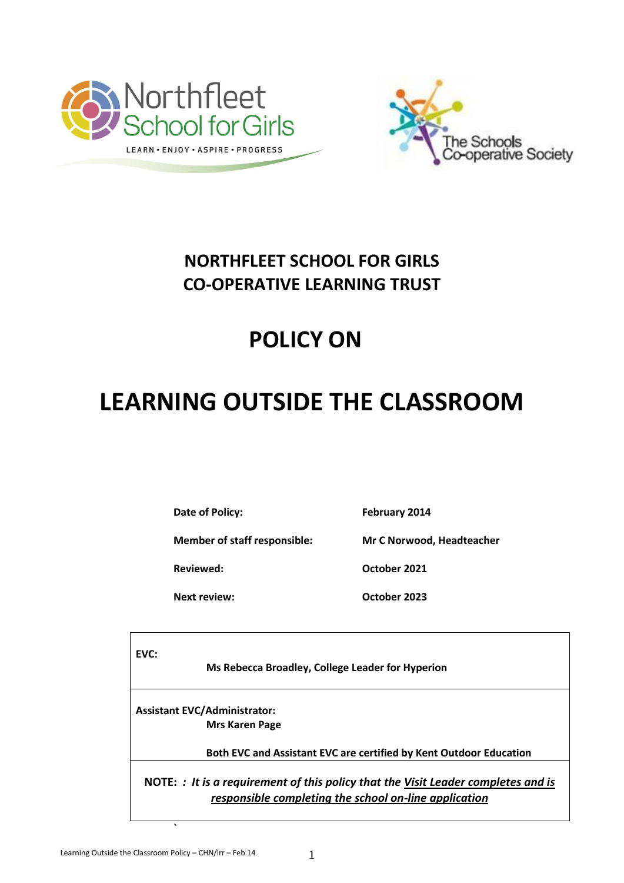



## **NORTHFLEET SCHOOL FOR GIRLS CO-OPERATIVE LEARNING TRUST**

## **POLICY ON**

# **LEARNING OUTSIDE THE CLASSROOM**

**Date of Policy:** February 2014

**Member of staff responsible: Mr C Norwood, Headteacher**

**Next review: October 2023**

**Reviewed: October 2021**

**EVC:**

 **Ms Rebecca Broadley, College Leader for Hyperion**

**Assistant EVC/Administrator: Mrs Karen Page**

 **Both EVC and Assistant EVC are certified by Kent Outdoor Education**

**NOTE:** *: It is a requirement of this policy that the Visit Leader completes and is responsible completing the school on-line application*

**`**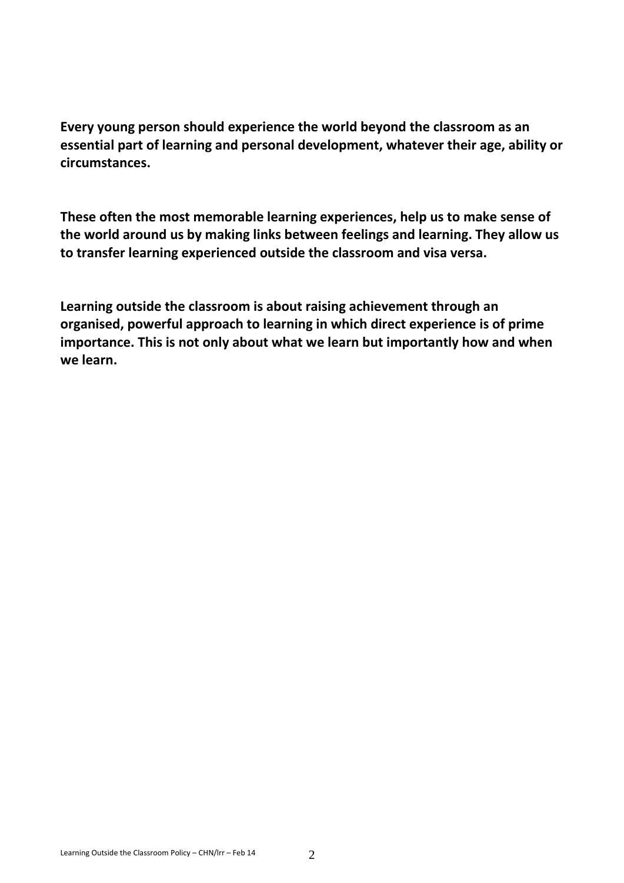**Every young person should experience the world beyond the classroom as an essential part of learning and personal development, whatever their age, ability or circumstances.**

**These often the most memorable learning experiences, help us to make sense of the world around us by making links between feelings and learning. They allow us to transfer learning experienced outside the classroom and visa versa.**

**Learning outside the classroom is about raising achievement through an organised, powerful approach to learning in which direct experience is of prime importance. This is not only about what we learn but importantly how and when we learn.**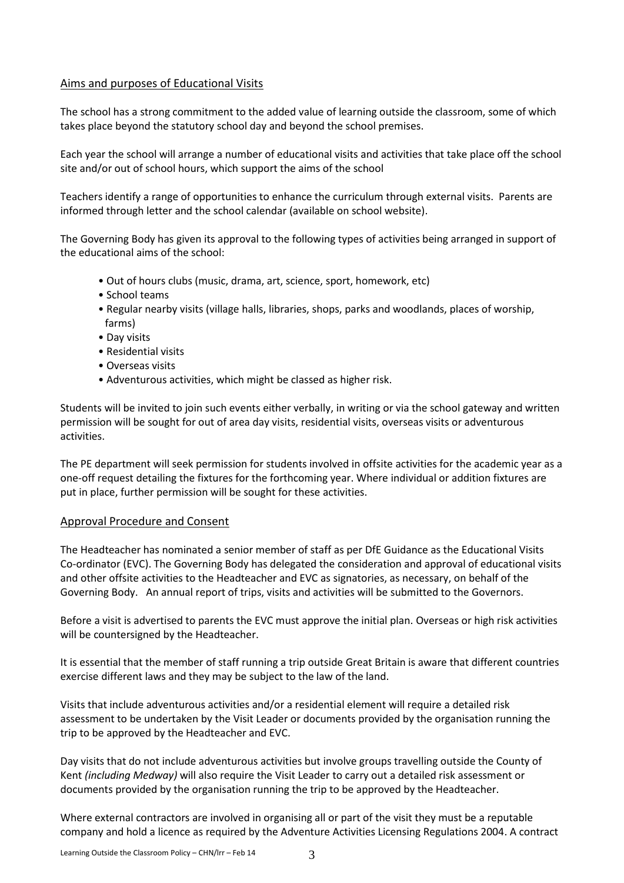#### Aims and purposes of Educational Visits

The school has a strong commitment to the added value of learning outside the classroom, some of which takes place beyond the statutory school day and beyond the school premises.

Each year the school will arrange a number of educational visits and activities that take place off the school site and/or out of school hours, which support the aims of the school

Teachers identify a range of opportunities to enhance the curriculum through external visits. Parents are informed through letter and the school calendar (available on school website).

The Governing Body has given its approval to the following types of activities being arranged in support of the educational aims of the school:

- Out of hours clubs (music, drama, art, science, sport, homework, etc)
- School teams
- Regular nearby visits (village halls, libraries, shops, parks and woodlands, places of worship, farms)
- Day visits
- Residential visits
- Overseas visits
- Adventurous activities, which might be classed as higher risk.

Students will be invited to join such events either verbally, in writing or via the school gateway and written permission will be sought for out of area day visits, residential visits, overseas visits or adventurous activities.

The PE department will seek permission for students involved in offsite activities for the academic year as a one-off request detailing the fixtures for the forthcoming year. Where individual or addition fixtures are put in place, further permission will be sought for these activities.

#### Approval Procedure and Consent

The Headteacher has nominated a senior member of staff as per DfE Guidance as the Educational Visits Co-ordinator (EVC). The Governing Body has delegated the consideration and approval of educational visits and other offsite activities to the Headteacher and EVC as signatories, as necessary, on behalf of the Governing Body. An annual report of trips, visits and activities will be submitted to the Governors.

Before a visit is advertised to parents the EVC must approve the initial plan. Overseas or high risk activities will be countersigned by the Headteacher.

It is essential that the member of staff running a trip outside Great Britain is aware that different countries exercise different laws and they may be subject to the law of the land.

Visits that include adventurous activities and/or a residential element will require a detailed risk assessment to be undertaken by the Visit Leader or documents provided by the organisation running the trip to be approved by the Headteacher and EVC.

Day visits that do not include adventurous activities but involve groups travelling outside the County of Kent *(including Medway)* will also require the Visit Leader to carry out a detailed risk assessment or documents provided by the organisation running the trip to be approved by the Headteacher.

Where external contractors are involved in organising all or part of the visit they must be a reputable company and hold a licence as required by the Adventure Activities Licensing Regulations 2004. A contract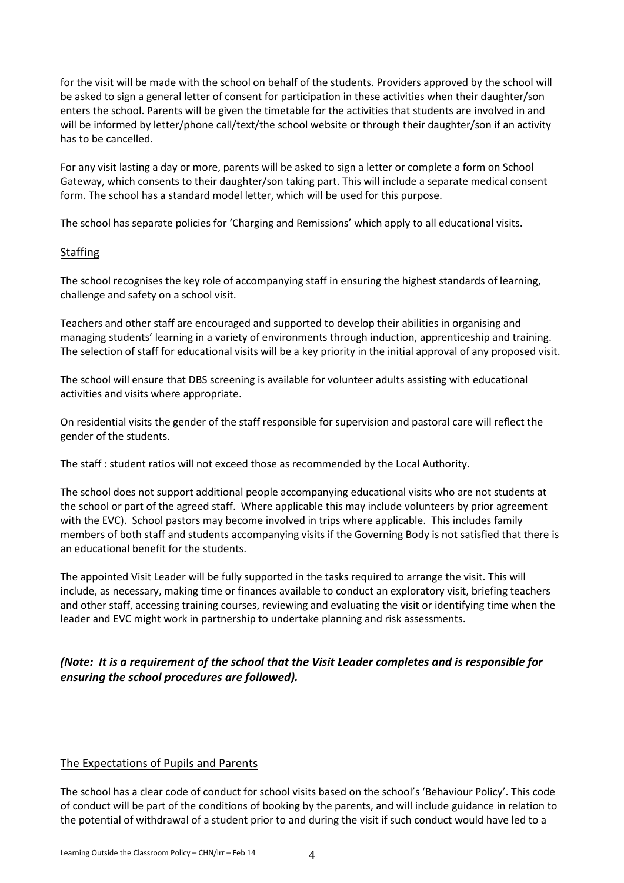for the visit will be made with the school on behalf of the students. Providers approved by the school will be asked to sign a general letter of consent for participation in these activities when their daughter/son enters the school. Parents will be given the timetable for the activities that students are involved in and will be informed by letter/phone call/text/the school website or through their daughter/son if an activity has to be cancelled.

For any visit lasting a day or more, parents will be asked to sign a letter or complete a form on School Gateway, which consents to their daughter/son taking part. This will include a separate medical consent form. The school has a standard model letter, which will be used for this purpose.

The school has separate policies for 'Charging and Remissions' which apply to all educational visits.

#### **Staffing**

The school recognises the key role of accompanying staff in ensuring the highest standards of learning, challenge and safety on a school visit.

Teachers and other staff are encouraged and supported to develop their abilities in organising and managing students' learning in a variety of environments through induction, apprenticeship and training. The selection of staff for educational visits will be a key priority in the initial approval of any proposed visit.

The school will ensure that DBS screening is available for volunteer adults assisting with educational activities and visits where appropriate.

On residential visits the gender of the staff responsible for supervision and pastoral care will reflect the gender of the students.

The staff : student ratios will not exceed those as recommended by the Local Authority.

The school does not support additional people accompanying educational visits who are not students at the school or part of the agreed staff. Where applicable this may include volunteers by prior agreement with the EVC). School pastors may become involved in trips where applicable. This includes family members of both staff and students accompanying visits if the Governing Body is not satisfied that there is an educational benefit for the students.

The appointed Visit Leader will be fully supported in the tasks required to arrange the visit. This will include, as necessary, making time or finances available to conduct an exploratory visit, briefing teachers and other staff, accessing training courses, reviewing and evaluating the visit or identifying time when the leader and EVC might work in partnership to undertake planning and risk assessments.

#### *(Note: It is a requirement of the school that the Visit Leader completes and is responsible for ensuring the school procedures are followed).*

#### The Expectations of Pupils and Parents

The school has a clear code of conduct for school visits based on the school's 'Behaviour Policy'. This code of conduct will be part of the conditions of booking by the parents, and will include guidance in relation to the potential of withdrawal of a student prior to and during the visit if such conduct would have led to a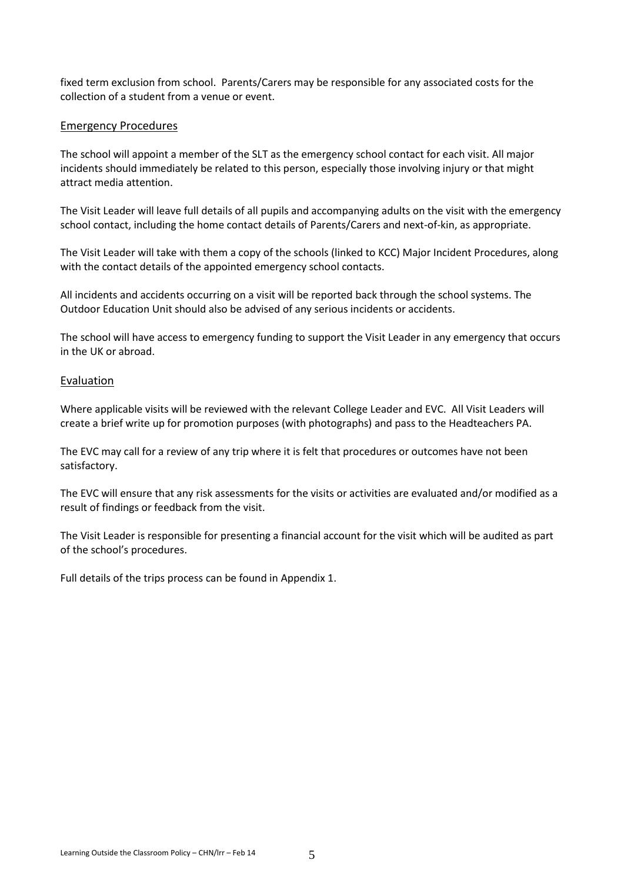fixed term exclusion from school. Parents/Carers may be responsible for any associated costs for the collection of a student from a venue or event.

#### Emergency Procedures

The school will appoint a member of the SLT as the emergency school contact for each visit. All major incidents should immediately be related to this person, especially those involving injury or that might attract media attention.

The Visit Leader will leave full details of all pupils and accompanying adults on the visit with the emergency school contact, including the home contact details of Parents/Carers and next-of-kin, as appropriate.

The Visit Leader will take with them a copy of the schools (linked to KCC) Major Incident Procedures, along with the contact details of the appointed emergency school contacts.

All incidents and accidents occurring on a visit will be reported back through the school systems. The Outdoor Education Unit should also be advised of any serious incidents or accidents.

The school will have access to emergency funding to support the Visit Leader in any emergency that occurs in the UK or abroad.

#### Evaluation

Where applicable visits will be reviewed with the relevant College Leader and EVC. All Visit Leaders will create a brief write up for promotion purposes (with photographs) and pass to the Headteachers PA.

The EVC may call for a review of any trip where it is felt that procedures or outcomes have not been satisfactory.

The EVC will ensure that any risk assessments for the visits or activities are evaluated and/or modified as a result of findings or feedback from the visit.

The Visit Leader is responsible for presenting a financial account for the visit which will be audited as part of the school's procedures.

Full details of the trips process can be found in Appendix 1.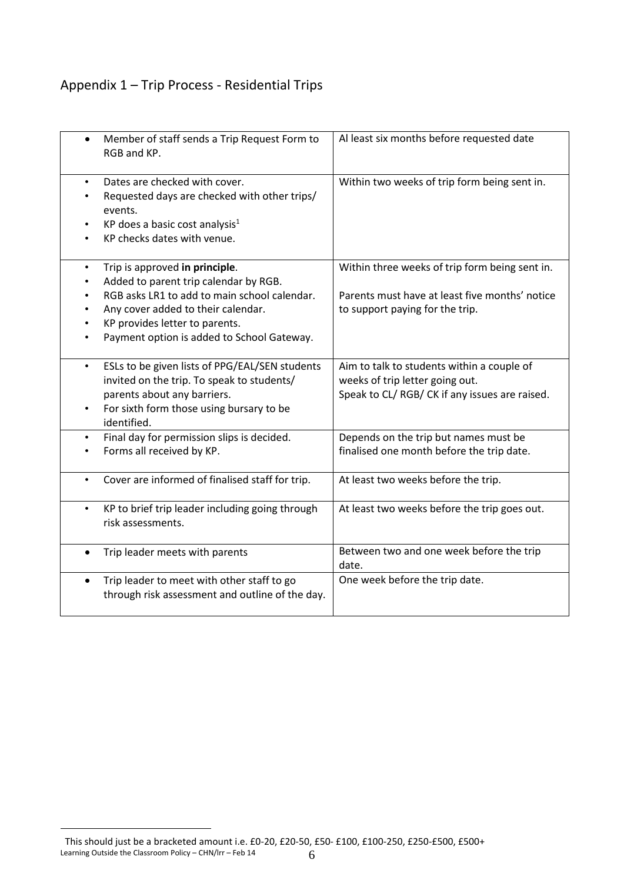### Appendix 1 – Trip Process - Residential Trips

|           | Member of staff sends a Trip Request Form to<br>RGB and KP.                                                                                                                                                                                   | Al least six months before requested date                                                                                           |
|-----------|-----------------------------------------------------------------------------------------------------------------------------------------------------------------------------------------------------------------------------------------------|-------------------------------------------------------------------------------------------------------------------------------------|
| $\bullet$ | Dates are checked with cover.<br>Requested days are checked with other trips/<br>events.<br>KP does a basic cost analysis <sup>1</sup><br>KP checks dates with venue.                                                                         | Within two weeks of trip form being sent in.                                                                                        |
| $\bullet$ | Trip is approved in principle.<br>Added to parent trip calendar by RGB.<br>RGB asks LR1 to add to main school calendar.<br>Any cover added to their calendar.<br>KP provides letter to parents.<br>Payment option is added to School Gateway. | Within three weeks of trip form being sent in.<br>Parents must have at least five months' notice<br>to support paying for the trip. |
| $\bullet$ | ESLs to be given lists of PPG/EAL/SEN students<br>invited on the trip. To speak to students/<br>parents about any barriers.<br>For sixth form those using bursary to be<br>identified.                                                        | Aim to talk to students within a couple of<br>weeks of trip letter going out.<br>Speak to CL/RGB/CK if any issues are raised.       |
| $\bullet$ | Final day for permission slips is decided.<br>Forms all received by KP.                                                                                                                                                                       | Depends on the trip but names must be<br>finalised one month before the trip date.                                                  |
| $\bullet$ | Cover are informed of finalised staff for trip.                                                                                                                                                                                               | At least two weeks before the trip.                                                                                                 |
| $\bullet$ | KP to brief trip leader including going through<br>risk assessments.                                                                                                                                                                          | At least two weeks before the trip goes out.                                                                                        |
| $\bullet$ | Trip leader meets with parents                                                                                                                                                                                                                | Between two and one week before the trip<br>date.                                                                                   |
| $\bullet$ | Trip leader to meet with other staff to go<br>through risk assessment and outline of the day.                                                                                                                                                 | One week before the trip date.                                                                                                      |

 $\overline{a}$ 

Learning Outside the Classroom Policy – CHN/lrr – Feb 14  $6$ This should just be a bracketed amount i.e. £0-20, £20-50, £50- £100, £100-250, £250-£500, £500+